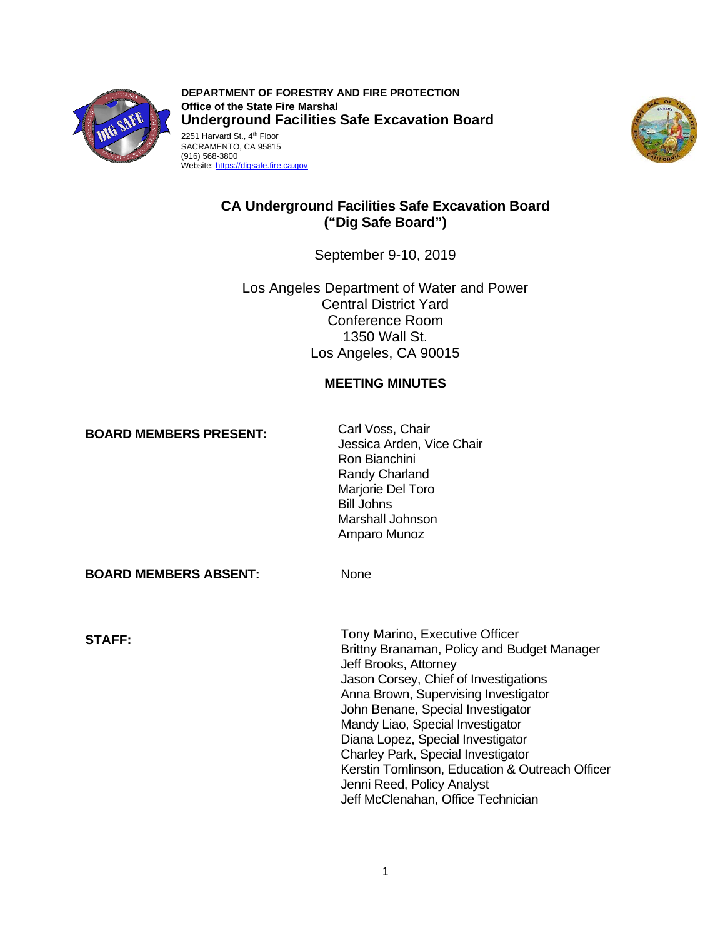

2251 Harvard St., 4<sup>th</sup> Floor **DEPARTMENT OF FORESTRY AND FIRE PROTECTION Office of the State Fire Marshal Underground Facilities Safe Excavation Board**  SACRAMENTO, CA 95815 (916) 568-3800

Website: https://digsafe.fire.ca.gov



# **CA Underground Facilities Safe Excavation Board ("Dig Safe Board")**

September 9-10, 2019

 Los Angeles Department of Water and Power Central District Yard Conference Room 1350 Wall St. Los Angeles, CA 90015

# **MEETING MINUTES**

**BOARD MEMBERS PRESENT:** Carl Voss, Chair

Jessica Arden, Vice Chair Ron Bianchini Randy Charland Marjorie Del Toro Bill Johns Marshall Johnson Amparo Munoz

 **BOARD MEMBERS ABSENT:** None

**STAFF:** Tony Marino, Executive Officer Brittny Branaman, Policy and Budget Manager Jeff Brooks, Attorney Jason Corsey, Chief of Investigations Anna Brown, Supervising Investigator John Benane, Special Investigator Mandy Liao, Special Investigator Diana Lopez, Special Investigator Charley Park, Special Investigator Kerstin Tomlinson, Education & Outreach Officer Jenni Reed, Policy Analyst Jeff McClenahan, Office Technician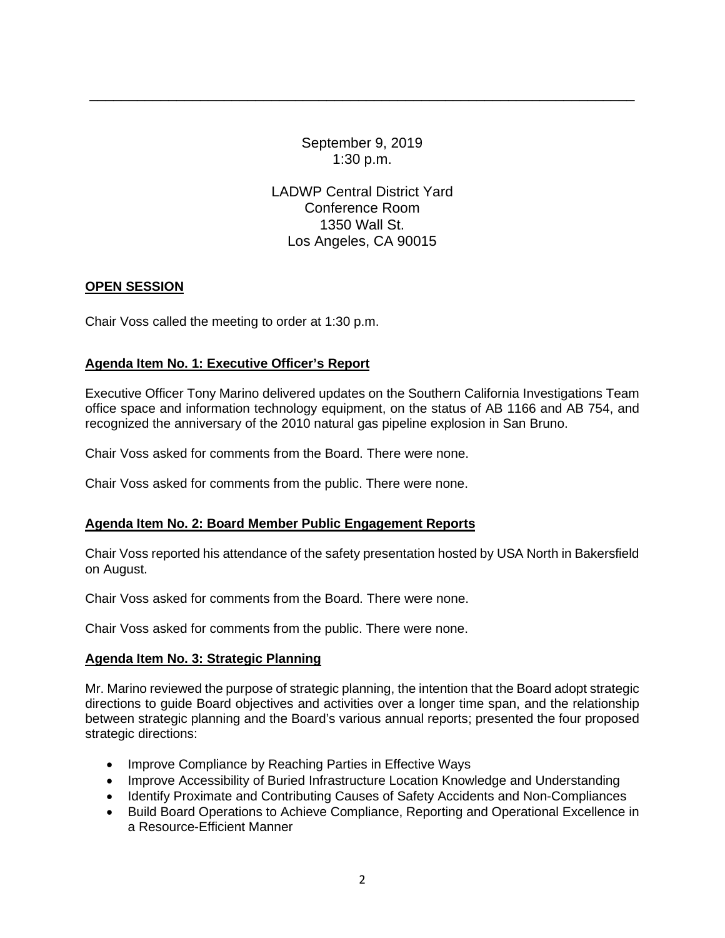September 9, 2019 1:30 p.m.

\_\_\_\_\_\_\_\_\_\_\_\_\_\_\_\_\_\_\_\_\_\_\_\_\_\_\_\_\_\_\_\_\_\_\_\_\_\_\_\_\_\_\_\_\_\_\_\_\_\_\_\_\_\_\_\_\_\_\_\_\_\_\_\_\_\_\_\_\_

LADWP Central District Yard Conference Room 1350 Wall St. Los Angeles, CA 90015

# **OPEN SESSION**

Chair Voss called the meeting to order at 1:30 p.m.

# **Agenda Item No. 1: Executive Officer's Report**

 recognized the anniversary of the 2010 natural gas pipeline explosion in San Bruno. Executive Officer Tony Marino delivered updates on the Southern California Investigations Team office space and information technology equipment, on the status of AB 1166 and AB 754, and

Chair Voss asked for comments from the Board. There were none.

Chair Voss asked for comments from the public. There were none.

#### **Agenda Item No. 2: Board Member Public Engagement Reports**

Chair Voss reported his attendance of the safety presentation hosted by USA North in Bakersfield on August.

Chair Voss asked for comments from the Board. There were none.

Chair Voss asked for comments from the public. There were none.

#### **Agenda Item No. 3: Strategic Planning**

 Mr. Marino reviewed the purpose of strategic planning, the intention that the Board adopt strategic between strategic planning and the Board's various annual reports; presented the four proposed directions to guide Board objectives and activities over a longer time span, and the relationship strategic directions:

- Improve Compliance by Reaching Parties in Effective Ways
- Improve Accessibility of Buried Infrastructure Location Knowledge and Understanding
- Identify Proximate and Contributing Causes of Safety Accidents and Non-Compliances
- Build Board Operations to Achieve Compliance, Reporting and Operational Excellence in a Resource-Efficient Manner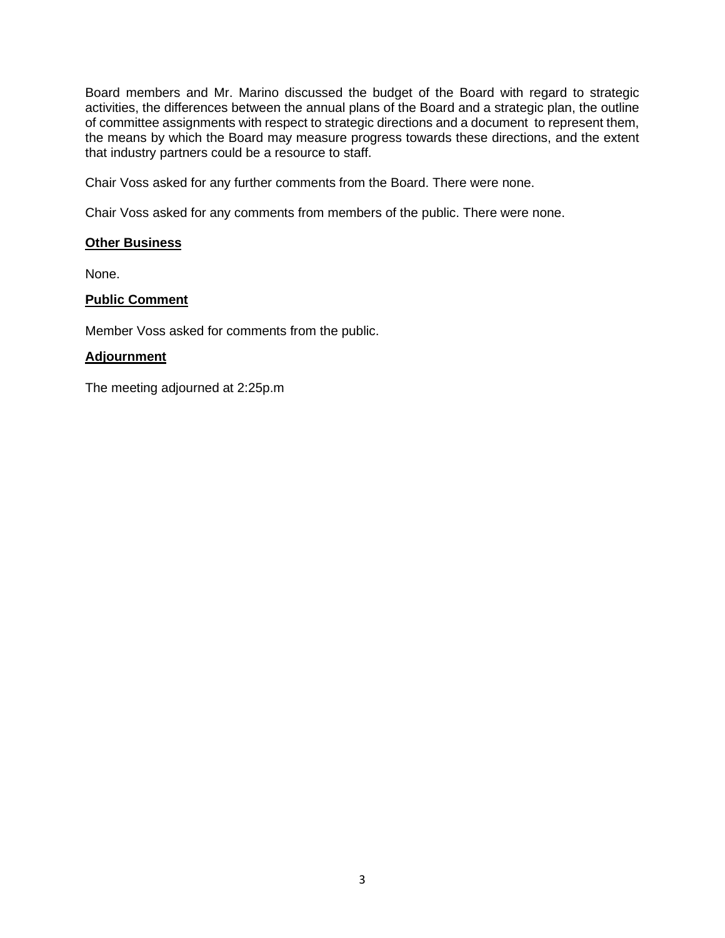Board members and Mr. Marino discussed the budget of the Board with regard to strategic activities, the differences between the annual plans of the Board and a strategic plan, the outline of committee assignments with respect to strategic directions and a document to represent them, the means by which the Board may measure progress towards these directions, and the extent that industry partners could be a resource to staff.

Chair Voss asked for any further comments from the Board. There were none.

Chair Voss asked for any comments from members of the public. There were none.

#### **Other Business**

None.

#### **Public Comment**

Member Voss asked for comments from the public.

#### **Adjournment**

The meeting adjourned at 2:25p.m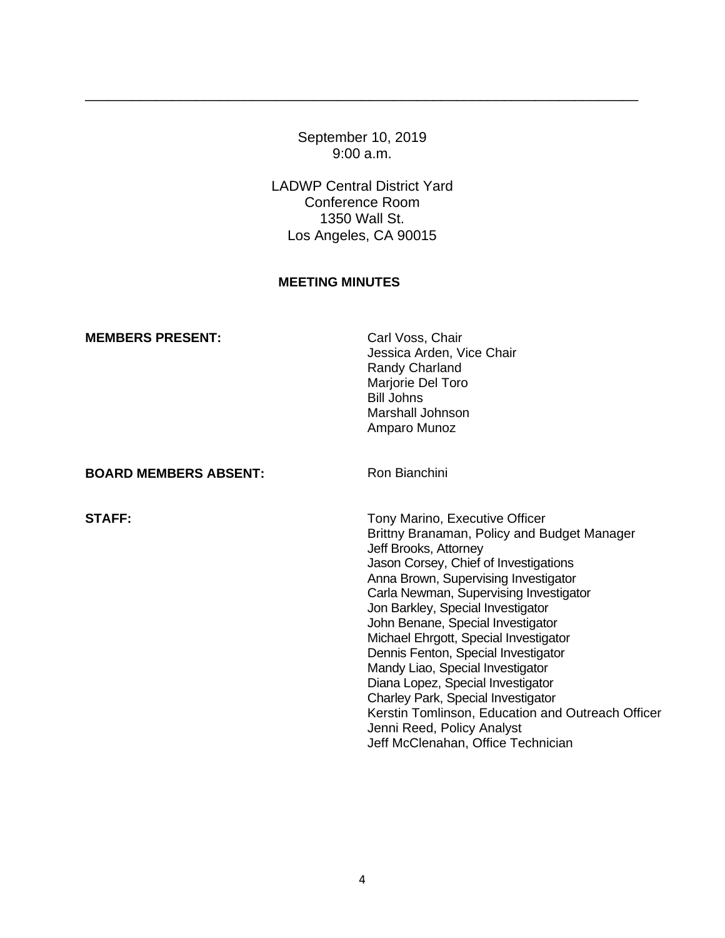September 10, 2019 9:00 a.m.

\_\_\_\_\_\_\_\_\_\_\_\_\_\_\_\_\_\_\_\_\_\_\_\_\_\_\_\_\_\_\_\_\_\_\_\_\_\_\_\_\_\_\_\_\_\_\_\_\_\_\_\_\_\_\_\_\_\_\_\_\_\_\_\_\_\_\_\_\_\_

LADWP Central District Yard Conference Room 1350 Wall St. Los Angeles, CA 90015

# **MEETING MINUTES**

| <b>MEMBERS PRESENT:</b>      | Carl Voss, Chair<br>Jessica Arden, Vice Chair<br>Randy Charland<br>Marjorie Del Toro<br><b>Bill Johns</b><br>Marshall Johnson<br>Amparo Munoz                                                                                                                                                                                                                                                                                                                                                                                                                                                                                       |
|------------------------------|-------------------------------------------------------------------------------------------------------------------------------------------------------------------------------------------------------------------------------------------------------------------------------------------------------------------------------------------------------------------------------------------------------------------------------------------------------------------------------------------------------------------------------------------------------------------------------------------------------------------------------------|
| <b>BOARD MEMBERS ABSENT:</b> | Ron Bianchini                                                                                                                                                                                                                                                                                                                                                                                                                                                                                                                                                                                                                       |
| <b>STAFF:</b>                | Tony Marino, Executive Officer<br>Brittny Branaman, Policy and Budget Manager<br>Jeff Brooks, Attorney<br>Jason Corsey, Chief of Investigations<br>Anna Brown, Supervising Investigator<br>Carla Newman, Supervising Investigator<br>Jon Barkley, Special Investigator<br>John Benane, Special Investigator<br>Michael Ehrgott, Special Investigator<br>Dennis Fenton, Special Investigator<br>Mandy Liao, Special Investigator<br>Diana Lopez, Special Investigator<br>Charley Park, Special Investigator<br>Kerstin Tomlinson, Education and Outreach Officer<br>Jenni Reed, Policy Analyst<br>Jeff McClenahan, Office Technician |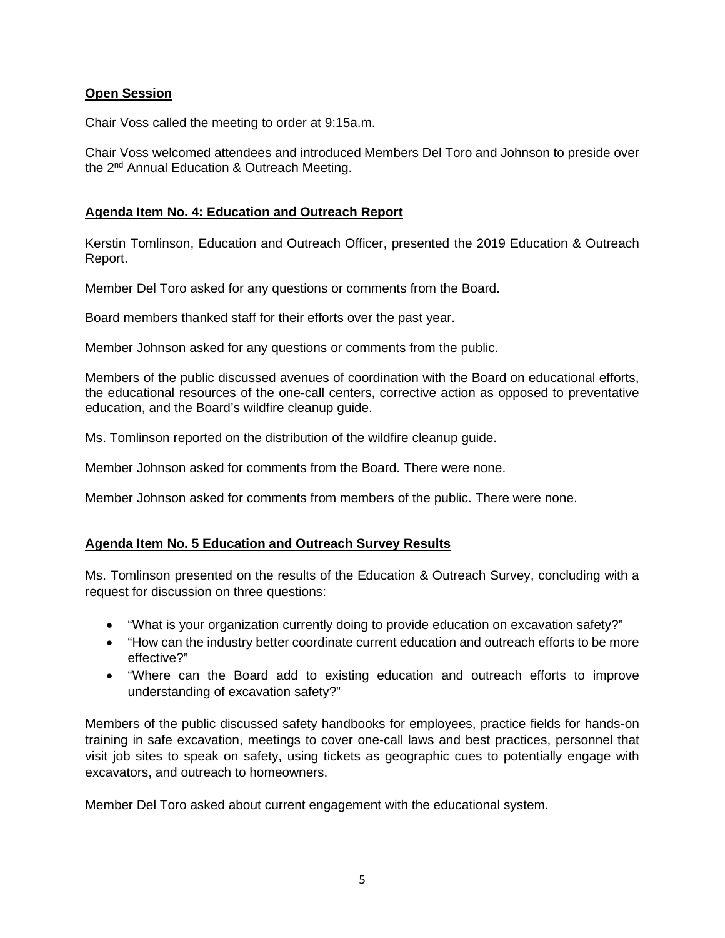### **Open Session**

Chair Voss called the meeting to order at 9:15a.m.

Chair Voss welcomed attendees and introduced Members Del Toro and Johnson to preside over the 2<sup>nd</sup> Annual Education & Outreach Meeting.

#### **Agenda Item No. 4: Education and Outreach Report**

 Kerstin Tomlinson, Education and Outreach Officer, presented the 2019 Education & Outreach Report.

Member Del Toro asked for any questions or comments from the Board.<br>Board members thanked staff for their efforts over the past year.

Member Johnson asked for any questions or comments from the public.

 Members of the public discussed avenues of coordination with the Board on educational efforts, the educational resources of the one-call centers, corrective action as opposed to preventative education, and the Board's wildfire cleanup guide.

Ms. Tomlinson reported on the distribution of the wildfire cleanup guide.

Member Johnson asked for comments from the Board. There were none.

Member Johnson asked for comments from members of the public. There were none.

#### **Agenda Item No. 5 Education and Outreach Survey Results**

Ms. Tomlinson presented on the results of the Education & Outreach Survey, concluding with a request for discussion on three questions:

- "What is your organization currently doing to provide education on excavation safety?"
- "How can the industry better coordinate current education and outreach efforts to be more effective?"
- • "Where can the Board add to existing education and outreach efforts to improve understanding of excavation safety?"

Members of the public discussed safety handbooks for employees, practice fields for hands-on training in safe excavation, meetings to cover one-call laws and best practices, personnel that visit job sites to speak on safety, using tickets as geographic cues to potentially engage with excavators, and outreach to homeowners.

Member Del Toro asked about current engagement with the educational system.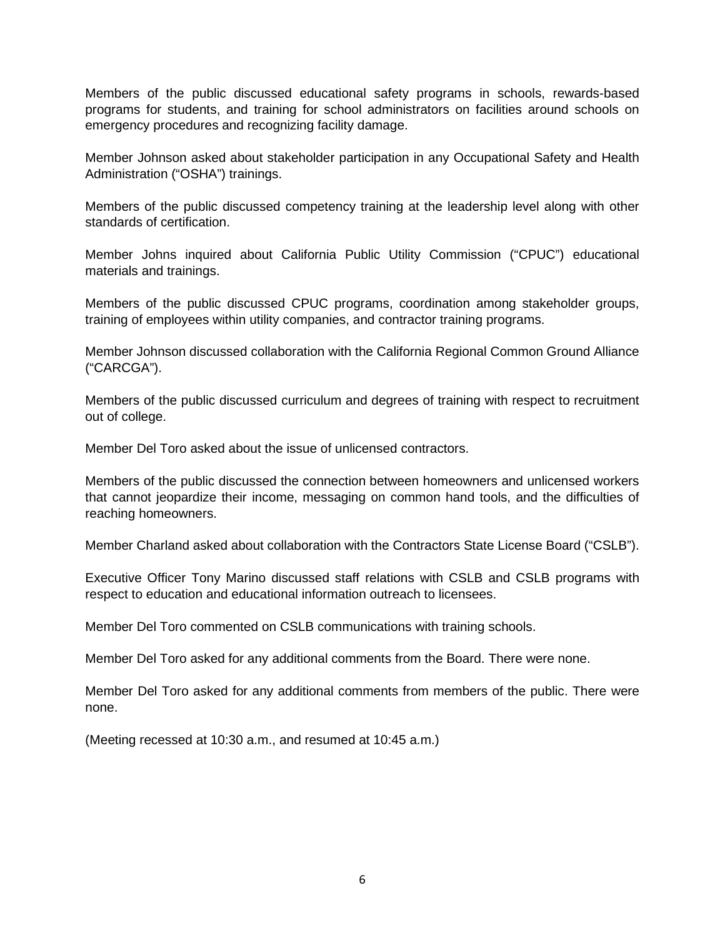programs for students, and training for school administrators on facilities around schools on Members of the public discussed educational safety programs in schools, rewards-based emergency procedures and recognizing facility damage.

 Member Johnson asked about stakeholder participation in any Occupational Safety and Health Administration ("OSHA") trainings.

 Members of the public discussed competency training at the leadership level along with other standards of certification.

Member Johns inquired about California Public Utility Commission ("CPUC") educational materials and trainings.

Members of the public discussed CPUC programs, coordination among stakeholder groups, training of employees within utility companies, and contractor training programs.

Member Johnson discussed collaboration with the California Regional Common Ground Alliance ("CARCGA").

out of college. Members of the public discussed curriculum and degrees of training with respect to recruitment

Member Del Toro asked about the issue of unlicensed contractors.

Members of the public discussed the connection between homeowners and unlicensed workers that cannot jeopardize their income, messaging on common hand tools, and the difficulties of reaching homeowners.

Member Charland asked about collaboration with the Contractors State License Board ("CSLB").

 Executive Officer Tony Marino discussed staff relations with CSLB and CSLB programs with respect to education and educational information outreach to licensees.

Member Del Toro commented on CSLB communications with training schools.

Member Del Toro asked for any additional comments from the Board. There were none.

 Member Del Toro asked for any additional comments from members of the public. There were none.

(Meeting recessed at 10:30 a.m., and resumed at 10:45 a.m.)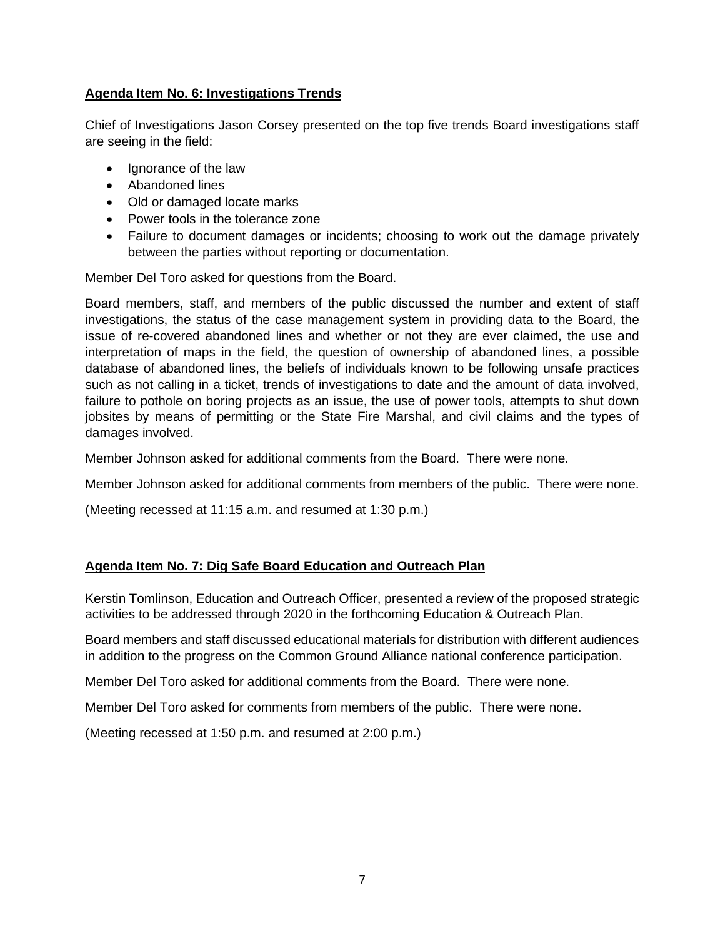# **Agenda Item No. 6: Investigations Trends**

 Chief of Investigations Jason Corsey presented on the top five trends Board investigations staff are seeing in the field:

- Ignorance of the law
- Abandoned lines
- Old or damaged locate marks
- Power tools in the tolerance zone
- • Failure to document damages or incidents; choosing to work out the damage privately between the parties without reporting or documentation.

Member Del Toro asked for questions from the Board.

 investigations, the status of the case management system in providing data to the Board, the jobsites by means of permitting or the State Fire Marshal, and civil claims and the types of Board members, staff, and members of the public discussed the number and extent of staff issue of re-covered abandoned lines and whether or not they are ever claimed, the use and interpretation of maps in the field, the question of ownership of abandoned lines, a possible database of abandoned lines, the beliefs of individuals known to be following unsafe practices such as not calling in a ticket, trends of investigations to date and the amount of data involved, failure to pothole on boring projects as an issue, the use of power tools, attempts to shut down damages involved.

Member Johnson asked for additional comments from the Board. There were none.

Member Johnson asked for additional comments from members of the public. There were none.

(Meeting recessed at 11:15 a.m. and resumed at 1:30 p.m.)

#### **Agenda Item No. 7: Dig Safe Board Education and Outreach Plan**

 activities to be addressed through 2020 in the forthcoming Education & Outreach Plan. Kerstin Tomlinson, Education and Outreach Officer, presented a review of the proposed strategic

 Board members and staff discussed educational materials for distribution with different audiences in addition to the progress on the Common Ground Alliance national conference participation.

Member Del Toro asked for additional comments from the Board. There were none.

Member Del Toro asked for comments from members of the public. There were none.

(Meeting recessed at 1:50 p.m. and resumed at 2:00 p.m.)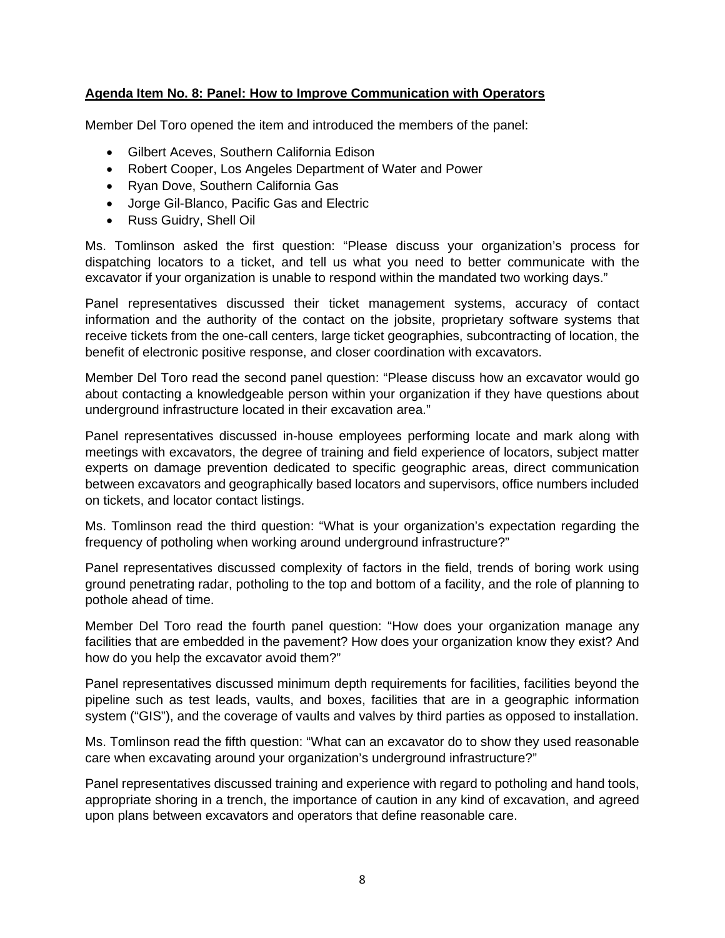### **Agenda Item No. 8: Panel: How to Improve Communication with Operators**

Member Del Toro opened the item and introduced the members of the panel:

- Gilbert Aceves, Southern California Edison
- Robert Cooper, Los Angeles Department of Water and Power
- Ryan Dove, Southern California Gas
- Jorge Gil-Blanco, Pacific Gas and Electric
- Russ Guidry, Shell Oil

 Ms. Tomlinson asked the first question: "Please discuss your organization's process for dispatching locators to a ticket, and tell us what you need to better communicate with the excavator if your organization is unable to respond within the mandated two working days."

 information and the authority of the contact on the jobsite, proprietary software systems that receive tickets from the one-call centers, large ticket geographies, subcontracting of location, the Panel representatives discussed their ticket management systems, accuracy of contact benefit of electronic positive response, and closer coordination with excavators.

Member Del Toro read the second panel question: "Please discuss how an excavator would go about contacting a knowledgeable person within your organization if they have questions about underground infrastructure located in their excavation area."

 meetings with excavators, the degree of training and field experience of locators, subject matter Panel representatives discussed in-house employees performing locate and mark along with experts on damage prevention dedicated to specific geographic areas, direct communication between excavators and geographically based locators and supervisors, office numbers included on tickets, and locator contact listings.

 Ms. Tomlinson read the third question: "What is your organization's expectation regarding the frequency of potholing when working around underground infrastructure?"

 Panel representatives discussed complexity of factors in the field, trends of boring work using pothole ahead of time. ground penetrating radar, potholing to the top and bottom of a facility, and the role of planning to

Member Del Toro read the fourth panel question: "How does your organization manage any facilities that are embedded in the pavement? How does your organization know they exist? And how do you help the excavator avoid them?"

 Panel representatives discussed minimum depth requirements for facilities, facilities beyond the system ("GIS"), and the coverage of vaults and valves by third parties as opposed to installation. pipeline such as test leads, vaults, and boxes, facilities that are in a geographic information

Ms. Tomlinson read the fifth question: "What can an excavator do to show they used reasonable care when excavating around your organization's underground infrastructure?"

 Panel representatives discussed training and experience with regard to potholing and hand tools, appropriate shoring in a trench, the importance of caution in any kind of excavation, and agreed upon plans between excavators and operators that define reasonable care.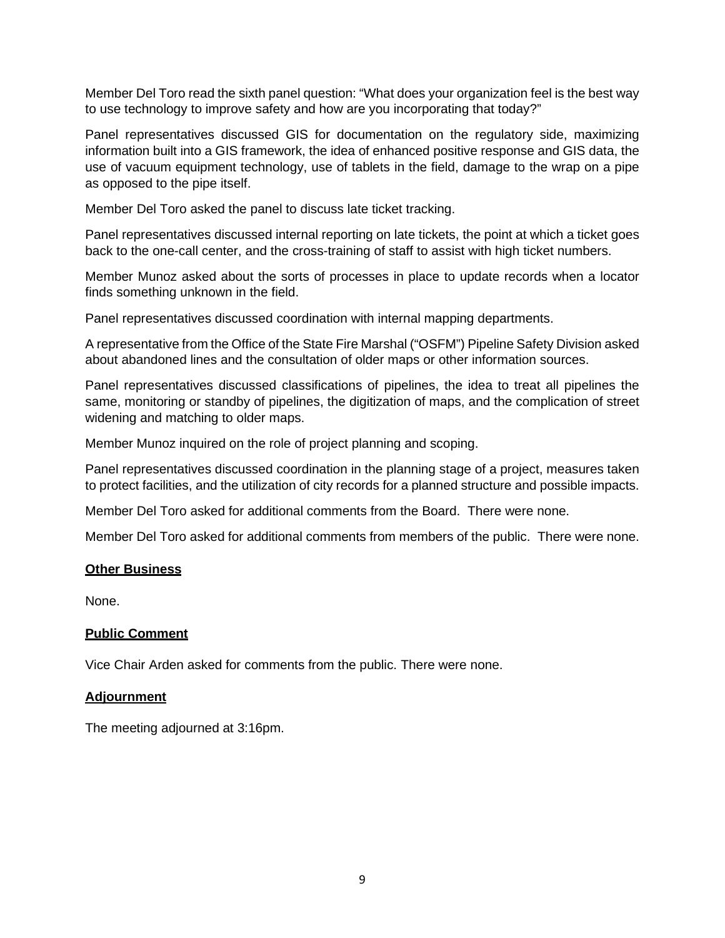Member Del Toro read the sixth panel question: "What does your organization feel is the best way to use technology to improve safety and how are you incorporating that today?"

Panel representatives discussed GIS for documentation on the regulatory side, maximizing information built into a GIS framework, the idea of enhanced positive response and GIS data, the use of vacuum equipment technology, use of tablets in the field, damage to the wrap on a pipe as opposed to the pipe itself.

Member Del Toro asked the panel to discuss late ticket tracking.

Panel representatives discussed internal reporting on late tickets, the point at which a ticket goes back to the one-call center, and the cross-training of staff to assist with high ticket numbers.

 Member Munoz asked about the sorts of processes in place to update records when a locator finds something unknown in the field.

Panel representatives discussed coordination with internal mapping departments.

 A representative from the Office of the State Fire Marshal ("OSFM") Pipeline Safety Division asked about abandoned lines and the consultation of older maps or other information sources.

 same, monitoring or standby of pipelines, the digitization of maps, and the complication of street widening and matching to older maps. Panel representatives discussed classifications of pipelines, the idea to treat all pipelines the

Member Munoz inquired on the role of project planning and scoping.

 Panel representatives discussed coordination in the planning stage of a project, measures taken to protect facilities, and the utilization of city records for a planned structure and possible impacts.

Member Del Toro asked for additional comments from the Board. There were none.

Member Del Toro asked for additional comments from members of the public. There were none.

#### **Other Business**

None.

#### **Public Comment**

Vice Chair Arden asked for comments from the public. There were none.

#### **Adjournment**

The meeting adjourned at 3:16pm.